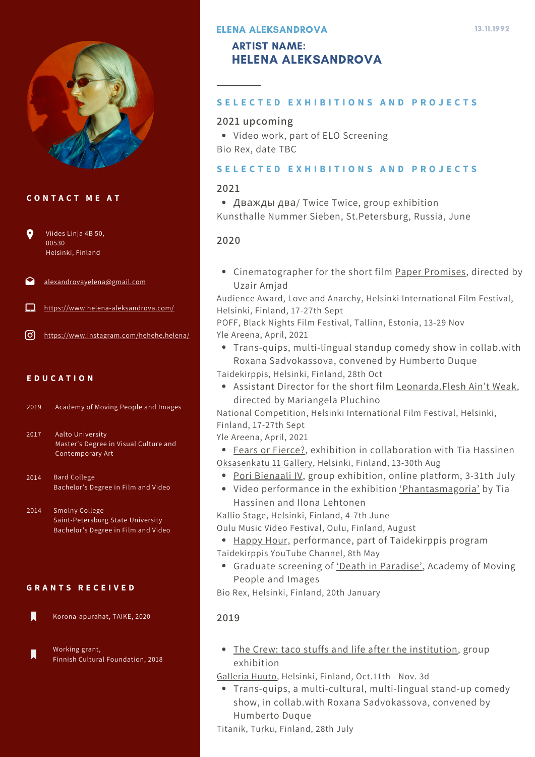

# **C O N T A C T M E A T**

- $\bullet$ Viides Linja 4B 50, 00530 Helsinki, Finland
- [alexandrovayelena@gmail.com](http://gmail.com/)
- <https://www.helena-aleksandrova.com/>
- $[0]$ [https://www.instagram.com/hehehe.helena/](https://www.helena-aleksandrova.com/)

# **E D U C A T I O N**

Academy of Moving People and Images 2019

Aalto University Master's Degree in Visual Culture and Contemporary Art 2017

Bard College Bachelor's Degree in Film and Video 2014

Smolny College Saint-Petersburg State University Bachelor's Degree in Film and Video 2014

#### **G R A N T S R E C E I V E D**

П Korona-apurahat, TAIKE, 2020

Working grant,  $\blacksquare$ Finnish Cultural Foundation, 2018

# ELENA ALEKSANDROVA

# ARTIST NAME: HELENA ALEKSANDROVA

#### SELECTED EXHIBITIONS AND PROJECTS

# **2021 upcoming**

Video work, part of ELO Screening Bio Rex, date TBC

#### SELECTED EXHIBITIONS AND PROJECTS

#### **2021**

Дважды два/ Twice Twice, group exhibition Kunsthalle Nummer Sieben, St.Petersburg, Russia, June

# **2020**

Cinematographer for the short film Paper [Promises,](https://areena.yle.fi/1-50494987) directed by Uzair Amjad

Audience Award, Love and Anarchy, Helsinki International Film Festival, Helsinki, Finland, 17-27th Sept

POFF, Black Nights Film Festival, Tallinn, Estonia, 13-29 Nov Yle Areena, April, 2021

- Trans-quips, multi-lingual standup comedy show in collab.with Roxana Sadvokassova, convened by Humberto Duque
- Taidekirppis, Helsinki, Finland, 28th Oct
	- Assistant Director for the short film [Leonarda.Flesh](https://areena.yle.fi/1-50494990) Ain't Weak, directed by Mariangela Pluchino

National Competition, Helsinki International Film Festival, Helsinki, Finland, 17-27th Sept

Yle Areena, April, 2021

• Fears or [Fierce?,](https://vimeo.com/498961687) exhibition in collaboration with Tia Hassinen [Oksasenkatu](https://oksasenkatu11.fi/fears-or-fierce-fin) 11 Gallery, Helsinki, Finland, 13-30th Aug

- Pori [Bienaali](http://porinkulttuurisaato.org/poribiennale2020/) IV, group exhibition, online platform, 3-31th July
- Video performance in the exhibition ['Phantasmagoria'](https://vimeo.com/340219665?fbclid=IwAR0Bc4tZ6lCAiJnUKUkqHI1UeqcG7Qhb5enDZ9cu5PEPek6JBXC0VmuOHH4) by Tia Hassinen and Ilona Lehtonen

Kallio Stage, Helsinki, Finland, 4-7th June

Oulu Music Video Festival, Oulu, Finland, August

- [Happy](https://www.youtube.com/watch?v=c7Lv_QVFICI) Hour, performance, part of Taidekirppis program
- Taidekirppis YouTube Channel, 8th May
	- Graduate screening of 'Death in [Paradise'](https://vimeo.com/391683461), Academy of Moving People and Images

Bio Rex, Helsinki, Finland, 20th January

# **2019**

- The Crew: taco stuffs and life after the [institution,](https://www.helena-aleksandrova.com/almost-full-memory) group exhibition
- [Galleria](https://www.galleriahuuto.fi/the-crew-taco-stuffs-and-life-after-the-institution/?lang=en) Huuto, Helsinki, Finland, Oct.11th Nov. 3d
- Trans-quips, a multi-cultural, multi-lingual stand-up comedy show, in collab.with Roxana Sadvokassova, convened by Humberto Duque

Titanik, Turku, Finland, 28th July